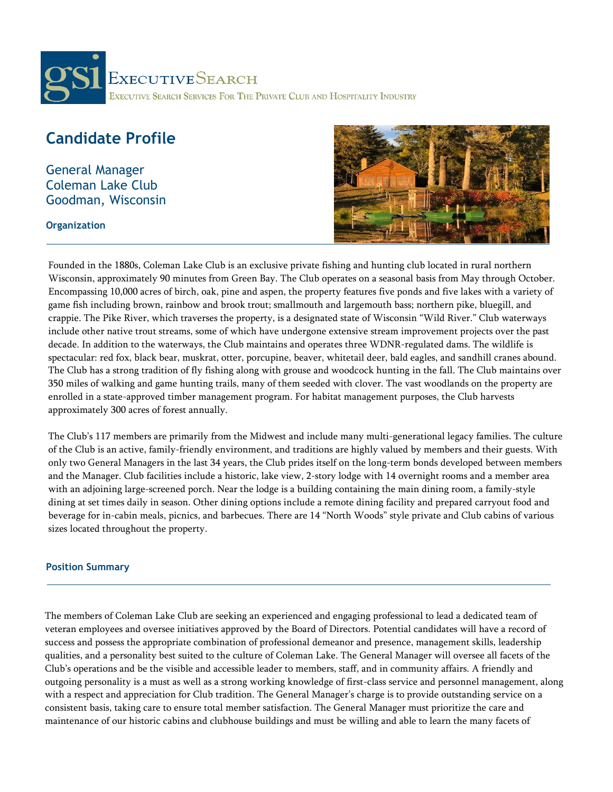

# **Candidate Profile**

General Manager Coleman Lake Club Goodman, Wisconsin

### **Organization**



Founded in the 1880s, Coleman Lake Club is an exclusive private fishing and hunting club located in rural northern Wisconsin, approximately 90 minutes from Green Bay. The Club operates on a seasonal basis from May through October. Encompassing 10,000 acres of birch, oak, pine and aspen, the property features five ponds and five lakes with a variety of game fish including brown, rainbow and brook trout; smallmouth and largemouth bass; northern pike, bluegill, and crappie. The Pike River, which traverses the property, is a designated state of Wisconsin "Wild River." Club waterways include other native trout streams, some of which have undergone extensive stream improvement projects over the past decade. In addition to the waterways, the Club maintains and operates three WDNR-regulated dams. The wildlife is spectacular: red fox, black bear, muskrat, otter, porcupine, beaver, whitetail deer, bald eagles, and sandhill cranes abound. The Club has a strong tradition of fly fishing along with grouse and woodcock hunting in the fall. The Club maintains over 350 miles of walking and game hunting trails, many of them seeded with clover. The vast woodlands on the property are enrolled in a state-approved timber management program. For habitat management purposes, the Club harvests approximately 300 acres of forest annually.

The Club's 117 members are primarily from the Midwest and include many multi-generational legacy families. The culture of the Club is an active, family-friendly environment, and traditions are highly valued by members and their guests. With only two General Managers in the last 34 years, the Club prides itself on the long-term bonds developed between members and the Manager. Club facilities include a historic, lake view, 2-story lodge with 14 overnight rooms and a member area with an adjoining large-screened porch. Near the lodge is a building containing the main dining room, a family-style dining at set times daily in season. Other dining options include a remote dining facility and prepared carryout food and beverage for in-cabin meals, picnics, and barbecues. There are 14 "North Woods" style private and Club cabins of various sizes located throughout the property.

# **Position Summary**

The members of Coleman Lake Club are seeking an experienced and engaging professional to lead a dedicated team of veteran employees and oversee initiatives approved by the Board of Directors. Potential candidates will have a record of success and possess the appropriate combination of professional demeanor and presence, management skills, leadership qualities, and a personality best suited to the culture of Coleman Lake. The General Manager will oversee all facets of the Club's operations and be the visible and accessible leader to members, staff, and in community affairs. A friendly and outgoing personality is a must as well as a strong working knowledge of first-class service and personnel management, along with a respect and appreciation for Club tradition. The General Manager's charge is to provide outstanding service on a consistent basis, taking care to ensure total member satisfaction. The General Manager must prioritize the care and maintenance of our historic cabins and clubhouse buildings and must be willing and able to learn the many facets of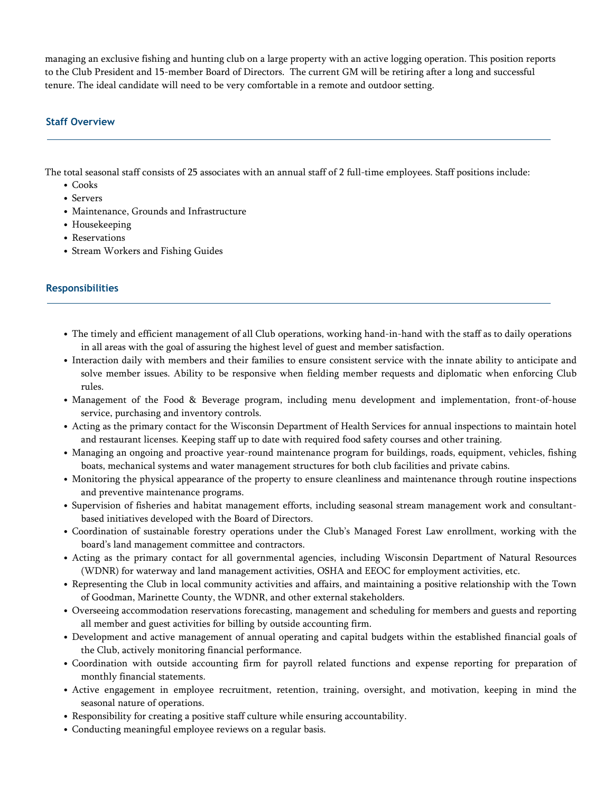managing an exclusive fishing and hunting club on a large property with an active logging operation. This position reports to the Club President and 15-member Board of Directors. The current GM will be retiring after a long and successful tenure. The ideal candidate will need to be very comfortable in a remote and outdoor setting.

## **Staff Overview**

The total seasonal staff consists of 25 associates with an annual staff of 2 full-time employees. Staff positions include:

- Cooks
- Servers
- Maintenance, Grounds and Infrastructure
- Housekeeping
- Reservations
- Stream Workers and Fishing Guides

#### **Responsibilities**

- The timely and efficient management of all Club operations, working hand-in-hand with the staff as to daily operations in all areas with the goal of assuring the highest level of guest and member satisfaction.
- Interaction daily with members and their families to ensure consistent service with the innate ability to anticipate and solve member issues. Ability to be responsive when fielding member requests and diplomatic when enforcing Club rules.
- Management of the Food & Beverage program, including menu development and implementation, front-of-house service, purchasing and inventory controls.
- Acting as the primary contact for the Wisconsin Department of Health Services for annual inspections to maintain hotel and restaurant licenses. Keeping staff up to date with required food safety courses and other training.
- Managing an ongoing and proactive year-round maintenance program for buildings, roads, equipment, vehicles, fishing boats, mechanical systems and water management structures for both club facilities and private cabins.
- Monitoring the physical appearance of the property to ensure cleanliness and maintenance through routine inspections and preventive maintenance programs.
- Supervision of fisheries and habitat management efforts, including seasonal stream management work and consultantbased initiatives developed with the Board of Directors.
- Coordination of sustainable forestry operations under the Club's Managed Forest Law enrollment, working with the board's land management committee and contractors.
- Acting as the primary contact for all governmental agencies, including Wisconsin Department of Natural Resources (WDNR) for waterway and land management activities, OSHA and EEOC for employment activities, etc.
- Representing the Club in local community activities and affairs, and maintaining a positive relationship with the Town of Goodman, Marinette County, the WDNR, and other external stakeholders.
- Overseeing accommodation reservations forecasting, management and scheduling for members and guests and reporting all member and guest activities for billing by outside accounting firm.
- Development and active management of annual operating and capital budgets within the established financial goals of the Club, actively monitoring financial performance.
- Coordination with outside accounting firm for payroll related functions and expense reporting for preparation of monthly financial statements.
- Active engagement in employee recruitment, retention, training, oversight, and motivation, keeping in mind the seasonal nature of operations.
- Responsibility for creating a positive staff culture while ensuring accountability.
- Conducting meaningful employee reviews on a regular basis.